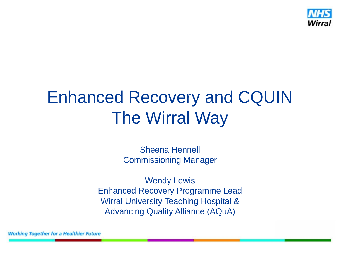

## Enhanced Recovery and CQUIN The Wirral Way

Sheena Hennell Commissioning Manager

Wendy Lewis Enhanced Recovery Programme Lead Wirral University Teaching Hospital & Advancing Quality Alliance (AQuA)

**Working Together for a Healthier Future**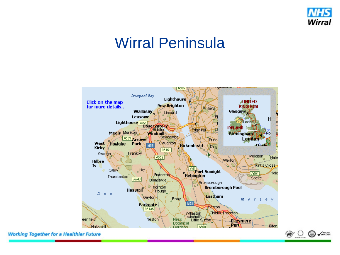

#### Wirral Peninsula



**Working Together for a Healthier Future** 

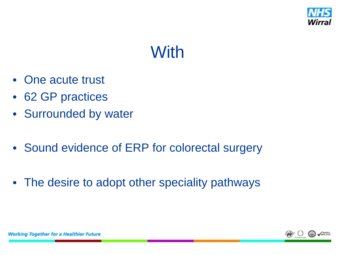

## **With**

- One acute trust
- 62 GP practices
- Surrounded by water
- Sound evidence of ERP for colorectal surgery
- The desire to adopt other speciality pathways

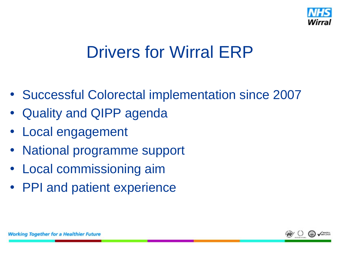

#### Drivers for Wirral ERP

- Successful Colorectal implementation since 2007
- Quality and QIPP agenda
- Local engagement
- National programme support
- Local commissioning aim
- PPI and patient experience

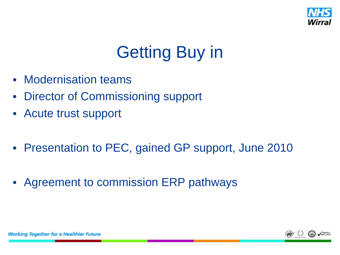

## Getting Buy in

- Modernisation teams
- Director of Commissioning support
- Acute trust support
- Presentation to PEC, gained GP support, June 2010
- Agreement to commission ERP pathways

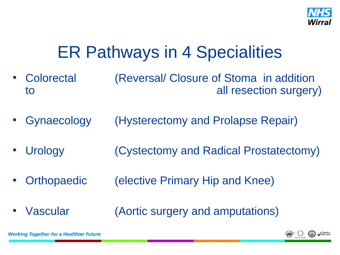

#### ER Pathways in 4 Specialities

- Colorectal (Reversal/ Closure of Stoma in addition to all resection surgery)
- Gynaecology (Hysterectomy and Prolapse Repair)
- Urology (Cystectomy and Radical Prostatectomy)
- Orthopaedic (elective Primary Hip and Knee)
- Vascular (Aortic surgery and amputations)



**Working Together for a Healthier Future**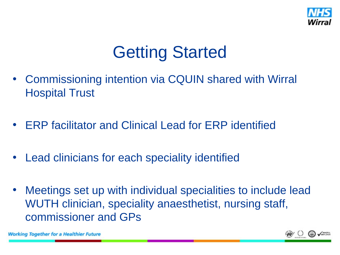

## Getting Started

- Commissioning intention via CQUIN shared with Wirral Hospital Trust
- ERP facilitator and Clinical Lead for ERP identified
- Lead clinicians for each speciality identified
- Meetings set up with individual specialities to include lead WUTH clinician, speciality anaesthetist, nursing staff, commissioner and GPs



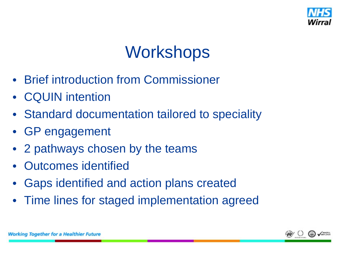

## **Workshops**

- Brief introduction from Commissioner
- CQUIN intention
- Standard documentation tailored to speciality
- GP engagement
- 2 pathways chosen by the teams
- Outcomes identified
- Gaps identified and action plans created
- Time lines for staged implementation agreed

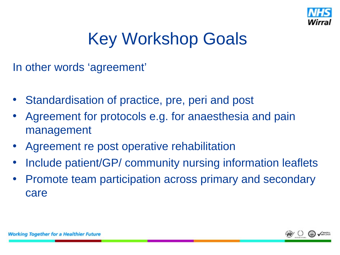

## Key Workshop Goals

In other words 'agreement'

- Standardisation of practice, pre, peri and post
- Agreement for protocols e.g. for anaesthesia and pain management
- Agreement re post operative rehabilitation
- Include patient/GP/ community nursing information leaflets
- Promote team participation across primary and secondary care

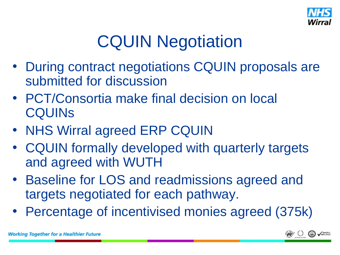

# CQUIN Negotiation

- During contract negotiations CQUIN proposals are submitted for discussion
- PCT/Consortia make final decision on local **CQUINS**
- NHS Wirral agreed ERP CQUIN
- CQUIN formally developed with quarterly targets and agreed with WUTH
- Baseline for LOS and readmissions agreed and targets negotiated for each pathway.
- Percentage of incentivised monies agreed (375k)

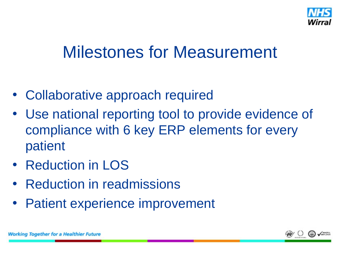

## Milestones for Measurement

- Collaborative approach required
- Use national reporting tool to provide evidence of compliance with 6 key ERP elements for every patient
- Reduction in LOS
- Reduction in readmissions
- Patient experience improvement

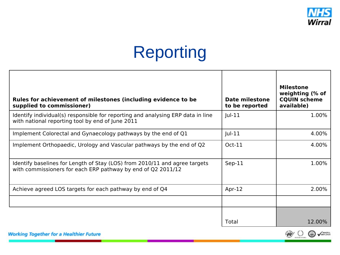

## Reporting

| Rules for achievement of milestones (including evidence to be<br>supplied to commissioner)                                                 | Date milestone<br>to be reported | <b>Milestone</b><br>weighting (% of<br><b>CQUIN scheme</b><br>available) |
|--------------------------------------------------------------------------------------------------------------------------------------------|----------------------------------|--------------------------------------------------------------------------|
| Identify individual(s) responsible for reporting and analysing ERP data in line<br>with national reporting tool by end of June 2011        | $ ul-11$                         | 1.00%                                                                    |
| Implement Colorectal and Gynaecology pathways by the end of Q1                                                                             | $ ul-11$                         | 4.00%                                                                    |
| Implement Orthopaedic, Urology and Vascular pathways by the end of Q2                                                                      | $Oct-11$                         | 4.00%                                                                    |
| Identify baselines for Length of Stay (LOS) from 2010/11 and agree targets<br>with commissioners for each ERP pathway by end of Q2 2011/12 | $Sep-11$                         | 1.00%                                                                    |
| Achieve agreed LOS targets for each pathway by end of Q4                                                                                   | Apr- $12$                        | 2.00%                                                                    |
|                                                                                                                                            |                                  |                                                                          |
|                                                                                                                                            | Total                            | 12.00%                                                                   |



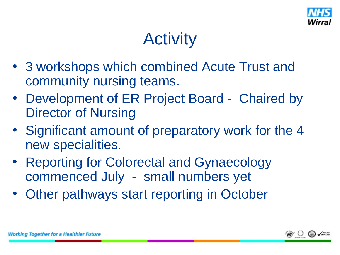

## Activity

- 3 workshops which combined Acute Trust and community nursing teams.
- Development of ER Project Board Chaired by Director of Nursing
- Significant amount of preparatory work for the 4 new specialities.
- Reporting for Colorectal and Gynaecology commenced July - small numbers yet
- Other pathways start reporting in October

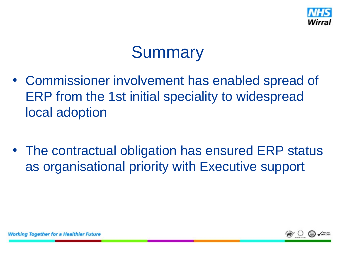

### **Summary**

- Commissioner involvement has enabled spread of ERP from the 1st initial speciality to widespread local adoption
- The contractual obligation has ensured ERP status as organisational priority with Executive support